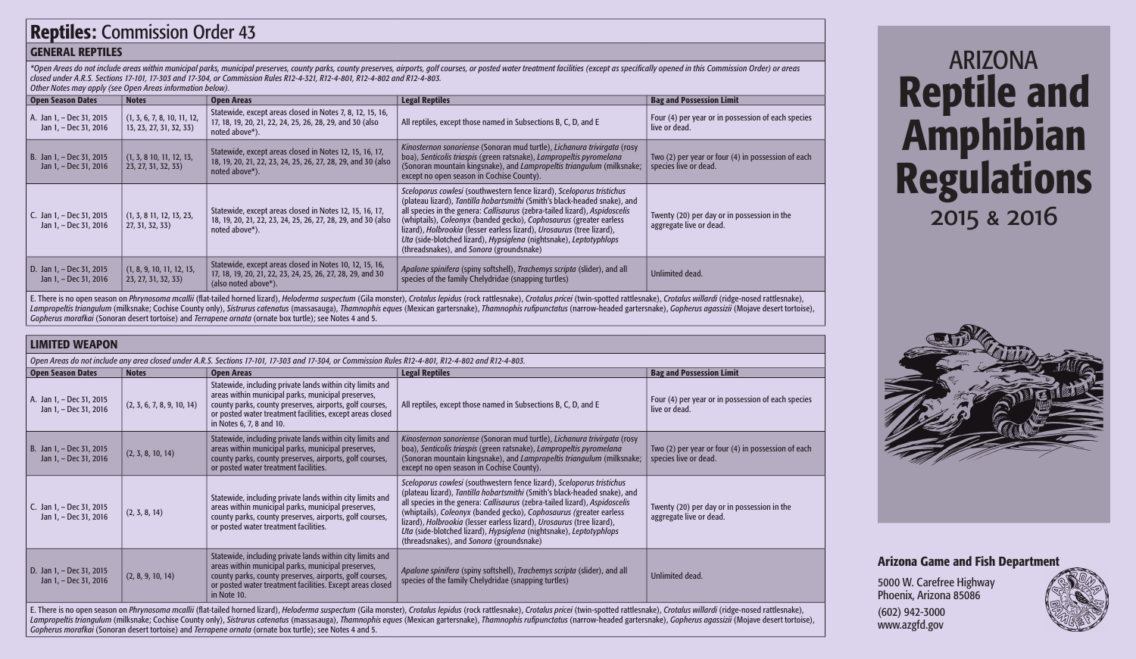# Reptiles: Commission Order 43

# GENERAL REPTILES

\*Open Areas do not include areas within municipal parks, municipal preserves, county parks, county preserves, airports, golf courses, or posted water treatment facilities (except as specifically opened in this Commission O *closed under A.R.S. Sections 17-101, 17-303 and 17-304, or Commission Rules R12-4-321, R12-4-801, R12-4-802 and R12-4-803.* 

| Other Notes may apply (see Open Areas information below). |  |
|-----------------------------------------------------------|--|
|-----------------------------------------------------------|--|

| <b>Open Season Dates</b>                          | <b>Notes</b>                                           | <b>Open Areas</b>                                                                                                                             | <b>Legal Reptiles</b>                                                                                                                                                                                                                                                                                                                                                                                                                                                                             | <b>Bag and Possession Limit</b>                                             |
|---------------------------------------------------|--------------------------------------------------------|-----------------------------------------------------------------------------------------------------------------------------------------------|---------------------------------------------------------------------------------------------------------------------------------------------------------------------------------------------------------------------------------------------------------------------------------------------------------------------------------------------------------------------------------------------------------------------------------------------------------------------------------------------------|-----------------------------------------------------------------------------|
| A. Jan 1, - Dec 31, 2015<br>Jan 1, - Dec 31, 2016 | (1, 3, 6, 7, 8, 10, 11, 12,<br>13, 23, 27, 31, 32, 33) | Statewide, except areas closed in Notes 7, 8, 12, 15, 16,<br>17, 18, 19, 20, 21, 22, 24, 25, 26, 28, 29, and 30 (also<br>noted above*).       | All reptiles, except those named in Subsections B, C, D, and E                                                                                                                                                                                                                                                                                                                                                                                                                                    | Four (4) per year or in possession of each species<br>live or dead.         |
| B. Jan 1, - Dec 31, 2015<br>Jan 1, - Dec 31, 2016 | (1, 3, 8, 10, 11, 12, 13,<br>23, 27, 31, 32, 33)       | Statewide, except areas closed in Notes 12, 15, 16, 17,<br>18, 19, 20, 21, 22, 23, 24, 25, 26, 27, 28, 29, and 30 (also<br>noted above*).     | Kinosternon sonoriense (Sonoran mud turtle), Lichanura trivirgata (rosy<br>boa), Senticolis triaspis (green ratsnake), Lampropeltis pyromelana<br>(Sonoran mountain kingsnake), and Lampropeltis triangulum (milksnake;<br>except no open season in Cochise County).                                                                                                                                                                                                                              | Two (2) per year or four (4) in possession of each<br>species live or dead. |
| C. Jan 1, - Dec 31, 2015<br>Jan 1, - Dec 31, 2016 | (1, 3, 8, 11, 12, 13, 23,<br>27, 31, 32, 33)           | Statewide, except areas closed in Notes 12, 15, 16, 17,<br>18, 19, 20, 21, 22, 23, 24, 25, 26, 27, 28, 29, and 30 (also<br>noted above*).     | Sceloporus cowlesi (southwestern fence lizard), Sceloporus tristichus<br>(plateau lizard), Tantilla hobartsmithi (Smith's black-headed snake), and<br>all species in the genera: Callisaurus (zebra-tailed lizard), Aspidoscelis<br>(whiptails), Coleonyx (banded gecko), Cophosaurus (greater earless<br>lizard), Holbrookia (lesser earless lizard), Urosaurus (tree lizard),<br>Uta (side-blotched lizard), Hypsiglena (nightsnake), Leptotyphlops<br>(threadsnakes), and Sonora (groundsnake) | Twenty (20) per day or in possession in the<br>aggregate live or dead.      |
| D. Jan 1, - Dec 31, 2015<br>Jan 1, - Dec 31, 2016 | (1, 8, 9, 10, 11, 12, 13,<br>23, 27, 31, 32, 33)       | Statewide, except areas closed in Notes 10, 12, 15, 16,<br>17, 18, 19, 20, 21, 22, 23, 24, 25, 26, 27, 28, 29, and 30<br>(also noted above*). | Apalone spinifera (spiny softshell), Trachemys scripta (slider), and all<br>species of the family Chelydridae (snapping turtles)                                                                                                                                                                                                                                                                                                                                                                  | Unlimited dead.                                                             |

E. There is no open season on Phrynosoma mcallii (flat-tailed horned lizard), Heloderma suspectum (Gila monster), Crotalus lepidus (rock rattlesnake), Crotalus pricei (twin-spotted rattlesnake), Crotalus willardi (ridge-no Lampropeltis triangulum (milksnake; Cochise County only), Sistrurus catenatus (massasauga), Thamnophis eques (Mexican gartersnake), Thamnophis rufipunctatus (narrow-headed gartersnake), Gopherus agassizii (Mojave desert to *Gopherus morafkai* (Sonoran desert tortoise) and *Terrapene ornata* (ornate box turtle); see Notes 4 and 5.

# LIMITED WEAPON

| Open Areas do not include any area closed under A.R.S. Sections 17-101, 17-303 and 17-304, or Commission Rules R12-4-801, R12-4-802 and R12-4-803.                                                                                                                                                                                                                                                                                                                                                                                                                           |                            |                                                                                                                                                                                                                                                                     |                                                                                                                                                                                                                                                                                                                                                                                                                                                                                                   |                                                                             |  |  |
|------------------------------------------------------------------------------------------------------------------------------------------------------------------------------------------------------------------------------------------------------------------------------------------------------------------------------------------------------------------------------------------------------------------------------------------------------------------------------------------------------------------------------------------------------------------------------|----------------------------|---------------------------------------------------------------------------------------------------------------------------------------------------------------------------------------------------------------------------------------------------------------------|---------------------------------------------------------------------------------------------------------------------------------------------------------------------------------------------------------------------------------------------------------------------------------------------------------------------------------------------------------------------------------------------------------------------------------------------------------------------------------------------------|-----------------------------------------------------------------------------|--|--|
| <b>Open Season Dates</b>                                                                                                                                                                                                                                                                                                                                                                                                                                                                                                                                                     | <b>Notes</b>               | <b>Open Areas</b>                                                                                                                                                                                                                                                   | <b>Legal Reptiles</b>                                                                                                                                                                                                                                                                                                                                                                                                                                                                             | <b>Bag and Possession Limit</b>                                             |  |  |
| A. Jan 1, - Dec 31, 2015<br>Jan 1, - Dec 31, 2016                                                                                                                                                                                                                                                                                                                                                                                                                                                                                                                            | (2, 3, 6, 7, 8, 9, 10, 14) | Statewide, including private lands within city limits and<br>areas within municipal parks, municipal preserves,<br>county parks, county preserves, airports, golf courses,<br>or posted water treatment facilities, except areas closed<br>in Notes 6, 7, 8 and 10. | All reptiles, except those named in Subsections B, C, D, and E                                                                                                                                                                                                                                                                                                                                                                                                                                    | Four (4) per year or in possession of each species<br>live or dead.         |  |  |
| B. Jan 1, - Dec 31, 2015<br>Jan 1, - Dec 31, 2016                                                                                                                                                                                                                                                                                                                                                                                                                                                                                                                            | (2, 3, 8, 10, 14)          | Statewide, including private lands within city limits and<br>areas within municipal parks, municipal preserves,<br>county parks, county preserves, airports, golf courses,<br>or posted water treatment facilities.                                                 | Kinosternon sonoriense (Sonoran mud turtle), Lichanura trivirgata (rosy<br>boa), Senticolis triaspis (green ratsnake), Lampropeltis pyromelana<br>(Sonoran mountain kingsnake), and Lampropeltis triangulum (milksnake;<br>except no open season in Cochise County).                                                                                                                                                                                                                              | Two (2) per year or four (4) in possession of each<br>species live or dead. |  |  |
| C. Jan 1, - Dec 31, 2015<br>Jan 1, - Dec 31, 2016                                                                                                                                                                                                                                                                                                                                                                                                                                                                                                                            | (2, 3, 8, 14)              | Statewide, including private lands within city limits and<br>areas within municipal parks, municipal preserves,<br>county parks, county preserves, airports, golf courses,<br>or posted water treatment facilities.                                                 | Sceloporus cowlesi (southwestern fence lizard), Sceloporus tristichus<br>(plateau lizard), Tantilla hobartsmithi (Smith's black-headed snake), and<br>all species in the genera: Callisaurus (zebra-tailed lizard), Aspidoscelis<br>(whiptails), Coleonyx (banded gecko), Cophosaurus (greater earless<br>lizard), Holbrookia (lesser earless lizard), Urosaurus (tree lizard),<br>Uta (side-blotched lizard), Hypsiglena (nightsnake), Leptotyphlops<br>(threadsnakes), and Sonora (groundsnake) | Twenty (20) per day or in possession in the<br>aggregate live or dead.      |  |  |
| D. Jan 1, - Dec 31, 2015<br>Jan 1, - Dec 31, 2016                                                                                                                                                                                                                                                                                                                                                                                                                                                                                                                            | (2, 8, 9, 10, 14)          | Statewide, including private lands within city limits and<br>areas within municipal parks, municipal preserves,<br>county parks, county preserves, airports, golf courses,<br>or posted water treatment facilities. Except areas closed<br>in Note 10.              | Apalone spinifera (spiny softshell), Trachemys scripta (slider), and all<br>species of the family Chelydridae (snapping turtles)                                                                                                                                                                                                                                                                                                                                                                  | Unlimited dead.                                                             |  |  |
| E. There is no open season on Phrynosoma mcallii (flat-tailed horned lizard), Heloderma suspectum (Gila monster), Crotalus lepidus (rock rattlesnake), Crotalus pricei (twin-spotted rattlesnake), Crotalus willardi (ridge-no<br>Lampropeltis triangulum (milksnake; Cochise County only), Sistrurus catenatus (massasauga), Thamnophis eques (Mexican gartersnake), Thamnophis rufipunctatus (narrow-headed gartersnake), Gopherus agassizii (Mojave desert to<br>Gopherus morafkai (Sonoran desert tortoise) and Terrapene ornata (ornate box turtle); see Notes 4 and 5. |                            |                                                                                                                                                                                                                                                                     |                                                                                                                                                                                                                                                                                                                                                                                                                                                                                                   |                                                                             |  |  |

ARIZONA Reptile and Amphibian Regulations 2015 & 2016



# Arizona Game and Fish Department

5000 W. Carefree Highway Phoenix, Arizona 85086

(602) 942-3000 www.azgfd.gov

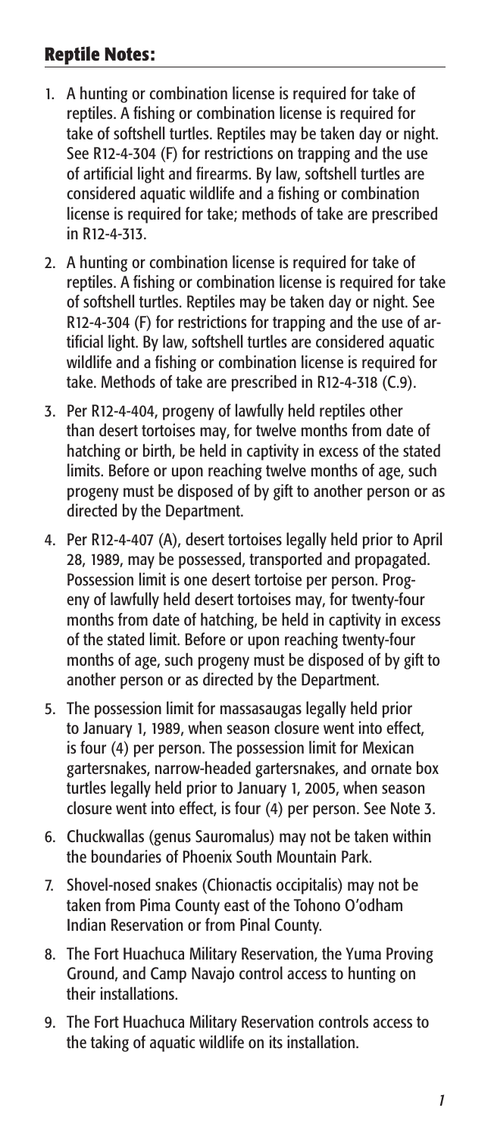## **Reptile Notes:**

- 1. A hunting or combination license is required for take of reptiles. A fishing or combination license is required for take of softshell turtles. Reptiles may be taken day or night. See R12-4-304 (F) for restrictions on trapping and the use of artificial light and firearms. By law, softshell turtles are considered aquatic wildlife and a fishing or combination license is required for take; methods of take are prescribed in R12-4-313.
- 2. A hunting or combination license is required for take of reptiles. A fishing or combination license is required for take of softshell turtles. Reptiles may be taken day or night. See R12-4-304 (F) for restrictions for trapping and the use of artificial light. By law, softshell turtles are considered aquatic wildlife and a fishing or combination license is required for take. Methods of take are prescribed in R12-4-318 (C.9).
- 3. Per R12-4-404, progeny of lawfully held reptiles other than desert tortoises may, for twelve months from date of hatching or birth, be held in captivity in excess of the stated limits. Before or upon reaching twelve months of age, such progeny must be disposed of by gift to another person or as directed by the Department.
- 4. Per R12-4-407 (A), desert tortoises legally held prior to April 28, 1989, may be possessed, transported and propagated. Possession limit is one desert tortoise per person. Progeny of lawfully held desert tortoises may, for twenty-four months from date of hatching, be held in captivity in excess of the stated limit. Before or upon reaching twenty-four months of age, such progeny must be disposed of by gift to another person or as directed by the Department.
- 5. The possession limit for massasaugas legally held prior to January 1, 1989, when season closure went into effect, is four (4) per person. The possession limit for Mexican gartersnakes, narrow-headed gartersnakes, and ornate box turtles legally held prior to January 1, 2005, when season closure went into effect, is four (4) per person. See Note 3.
- 6. Chuckwallas (genus Sauromalus) may not be taken within the boundaries of Phoenix South Mountain Park.
- 7. Shovel-nosed snakes (Chionactis occipitalis) may not be taken from Pima County east of the Tohono O'odham Indian Reservation or from Pinal County.
- 8. The Fort Huachuca Military Reservation, the Yuma Proving Ground, and Camp Navajo control access to hunting on their installations.
- 9. The Fort Huachuca Military Reservation controls access to the taking of aquatic wildlife on its installation.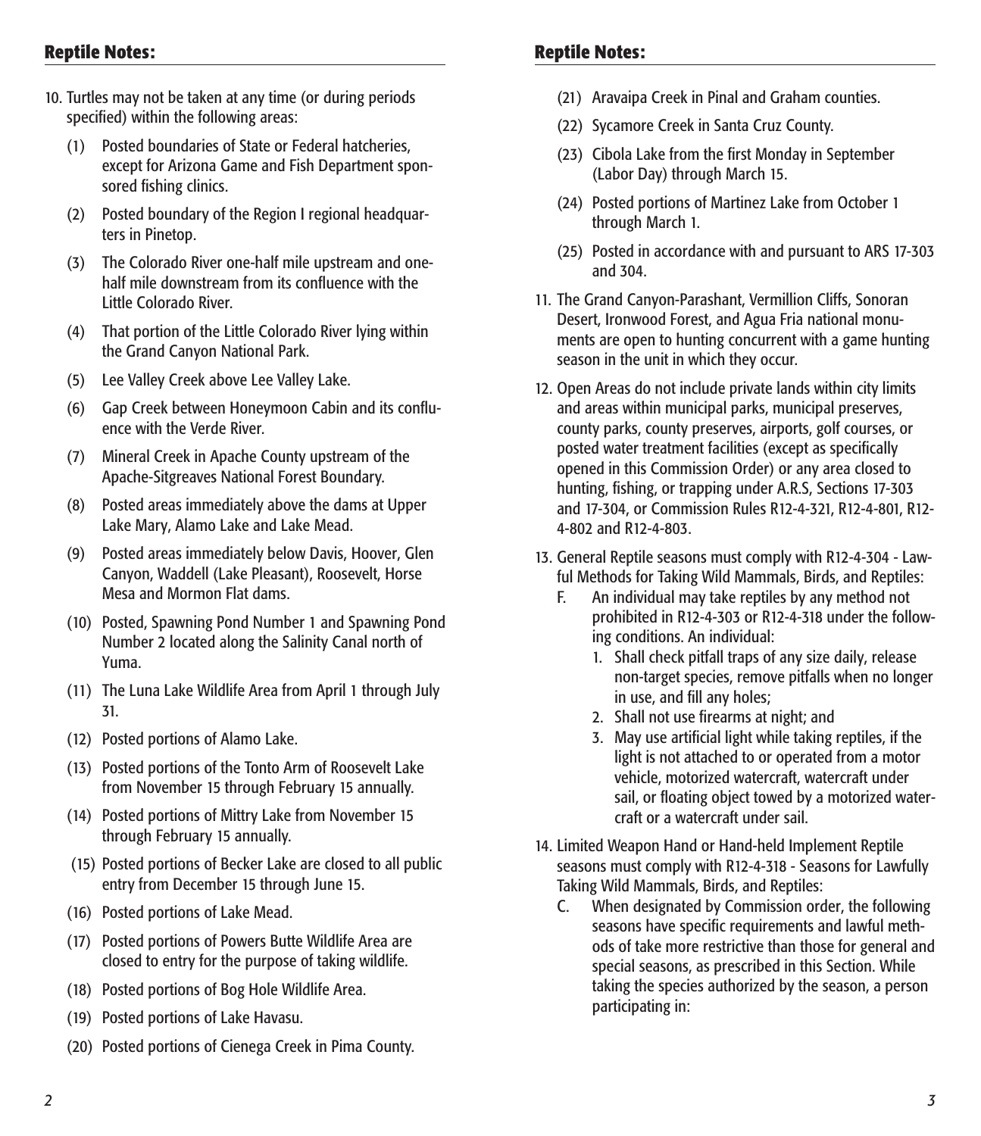- 10. Turtles may not be taken at any time (or during periods specified) within the following areas:
	- (1) Posted boundaries of State or Federal hatcheries, except for Arizona Game and Fish Department sponsored fishing clinics.
	- (2) Posted boundary of the Region I regional headquarters in Pinetop.
	- (3) The Colorado River one-half mile upstream and onehalf mile downstream from its confluence with the Little Colorado River.
	- (4) That portion of the Little Colorado River lying within the Grand Canyon National Park.
	- (5) Lee Valley Creek above Lee Valley Lake.
	- (6) Gap Creek between Honeymoon Cabin and its confluence with the Verde River.
	- (7) Mineral Creek in Apache County upstream of the Apache-Sitgreaves National Forest Boundary.
	- (8) Posted areas immediately above the dams at Upper Lake Mary, Alamo Lake and Lake Mead.
	- (9) Posted areas immediately below Davis, Hoover, Glen Canyon, Waddell (Lake Pleasant), Roosevelt, Horse Mesa and Mormon Flat dams.
	- (10) Posted, Spawning Pond Number 1 and Spawning Pond Number 2 located along the Salinity Canal north of Yuma.
	- (11) The Luna Lake Wildlife Area from April 1 through July 31.
	- (12) Posted portions of Alamo Lake.
	- (13) Posted portions of the Tonto Arm of Roosevelt Lake from November 15 through February 15 annually.
	- (14) Posted portions of Mittry Lake from November 15 through February 15 annually.
	- (15) Posted portions of Becker Lake are closed to all public entry from December 15 through June 15.
	- (16) Posted portions of Lake Mead.
	- (17) Posted portions of Powers Butte Wildlife Area are closed to entry for the purpose of taking wildlife.
	- (18) Posted portions of Bog Hole Wildlife Area.
	- (19) Posted portions of Lake Havasu.
	- (20) Posted portions of Cienega Creek in Pima County.

- (21) Aravaipa Creek in Pinal and Graham counties.
- (22) Sycamore Creek in Santa Cruz County.
- (23) Cibola Lake from the first Monday in September (Labor Day) through March 15.
- (24) Posted portions of Martinez Lake from October 1 through March 1.
- (25) Posted in accordance with and pursuant to ARS 17-303 and 304.
- 11. The Grand Canyon-Parashant, Vermillion Cliffs, Sonoran Desert, Ironwood Forest, and Agua Fria national monuments are open to hunting concurrent with a game hunting season in the unit in which they occur.
- 12. Open Areas do not include private lands within city limits and areas within municipal parks, municipal preserves, county parks, county preserves, airports, golf courses, or posted water treatment facilities (except as specifically opened in this Commission Order) or any area closed to hunting, fishing, or trapping under A.R.S, Sections 17-303 and 17-304, or Commission Rules R12-4-321, R12-4-801, R12- 4-802 and R12-4-803.
- 13. General Reptile seasons must comply with R12-4-304 Lawful Methods for Taking Wild Mammals, Birds, and Reptiles:
	- F. An individual may take reptiles by any method not prohibited in R12-4-303 or R12-4-318 under the following conditions. An individual:
		- 1. Shall check pitfall traps of any size daily, release non-target species, remove pitfalls when no longer in use, and fill any holes;
		- 2. Shall not use firearms at night; and
		- 3. May use artificial light while taking reptiles, if the light is not attached to or operated from a motor vehicle, motorized watercraft, watercraft under sail, or floating object towed by a motorized watercraft or a watercraft under sail.
- 14. Limited Weapon Hand or Hand-held Implement Reptile seasons must comply with R12-4-318 - Seasons for Lawfully Taking Wild Mammals, Birds, and Reptiles:
	- C. When designated by Commission order, the following seasons have specific requirements and lawful methods of take more restrictive than those for general and special seasons, as prescribed in this Section. While taking the species authorized by the season, a person participating in: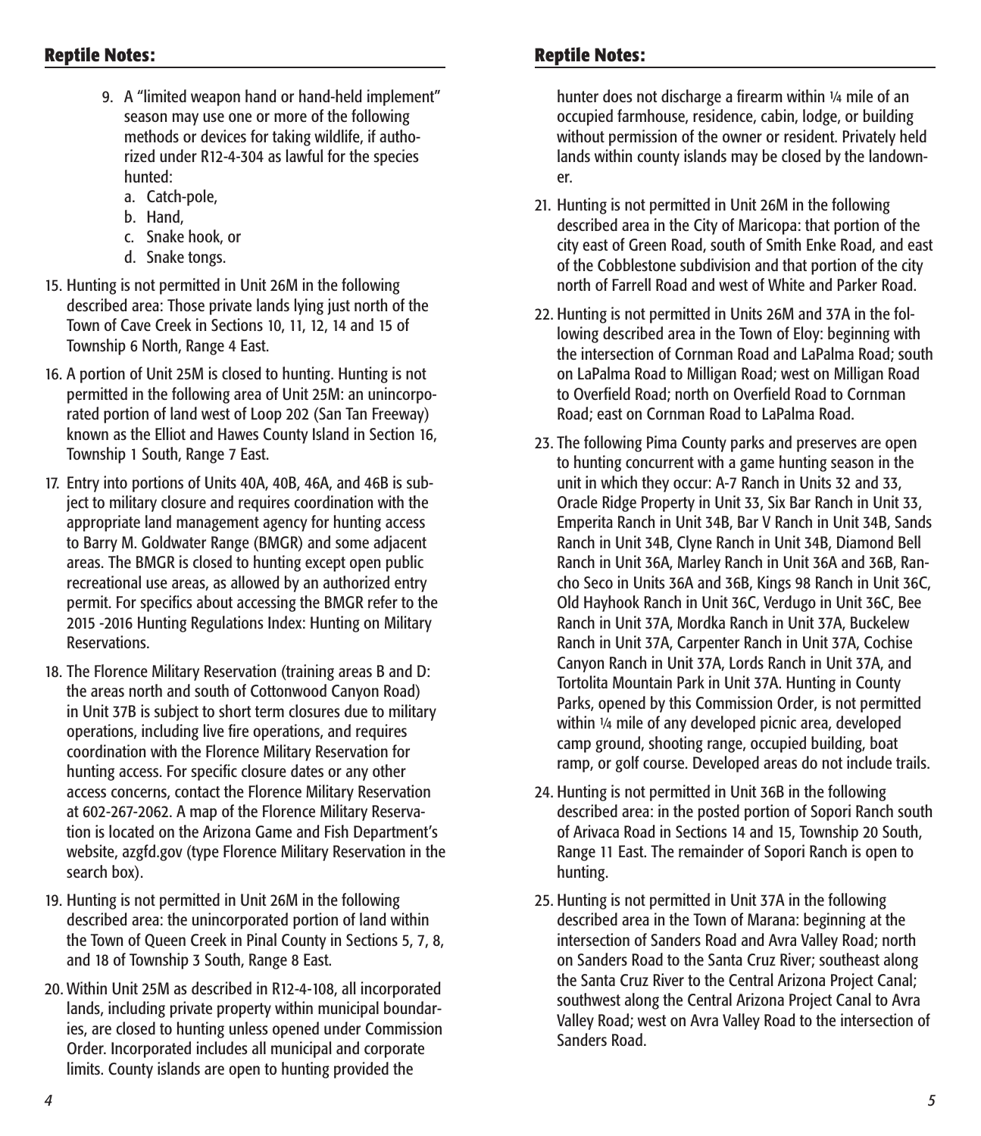- 9. A "limited weapon hand or hand-held implement" season may use one or more of the following methods or devices for taking wildlife, if authorized under R12-4-304 as lawful for the species hunted:
	- a. Catch-pole,
	- b. Hand,
	- c. Snake hook, or
	- d. Snake tongs.
- 15. Hunting is not permitted in Unit 26M in the following described area: Those private lands lying just north of the Town of Cave Creek in Sections 10, 11, 12, 14 and 15 of Township 6 North, Range 4 East.
- 16. A portion of Unit 25M is closed to hunting. Hunting is not permitted in the following area of Unit 25M: an unincorporated portion of land west of Loop 202 (San Tan Freeway) known as the Elliot and Hawes County Island in Section 16, Township 1 South, Range 7 East.
- 17. Entry into portions of Units 40A, 40B, 46A, and 46B is subject to military closure and requires coordination with the appropriate land management agency for hunting access to Barry M. Goldwater Range (BMGR) and some adjacent areas. The BMGR is closed to hunting except open public recreational use areas, as allowed by an authorized entry permit. For specifics about accessing the BMGR refer to the 2015 -2016 Hunting Regulations Index: Hunting on Military Reservations.
- 18. The Florence Military Reservation (training areas B and D: the areas north and south of Cottonwood Canyon Road) in Unit 37B is subject to short term closures due to military operations, including live fire operations, and requires coordination with the Florence Military Reservation for hunting access. For specific closure dates or any other access concerns, contact the Florence Military Reservation at 602-267-2062. A map of the Florence Military Reservation is located on the Arizona Game and Fish Department's website, azgfd.gov (type Florence Military Reservation in the search box).
- 19. Hunting is not permitted in Unit 26M in the following described area: the unincorporated portion of land within the Town of Queen Creek in Pinal County in Sections 5, 7, 8, and 18 of Township 3 South, Range 8 East.
- 20. Within Unit 25M as described in R12-4-108, all incorporated lands, including private property within municipal boundaries, are closed to hunting unless opened under Commission Order. Incorporated includes all municipal and corporate limits. County islands are open to hunting provided the

hunter does not discharge a firearm within 1/4 mile of an occupied farmhouse, residence, cabin, lodge, or building without permission of the owner or resident. Privately held lands within county islands may be closed by the landowner.

- 21. Hunting is not permitted in Unit 26M in the following described area in the City of Maricopa: that portion of the city east of Green Road, south of Smith Enke Road, and east of the Cobblestone subdivision and that portion of the city north of Farrell Road and west of White and Parker Road.
- 22. Hunting is not permitted in Units 26M and 37A in the following described area in the Town of Eloy: beginning with the intersection of Cornman Road and LaPalma Road; south on LaPalma Road to Milligan Road; west on Milligan Road to Overfield Road; north on Overfield Road to Cornman Road; east on Cornman Road to LaPalma Road.
- 23. The following Pima County parks and preserves are open to hunting concurrent with a game hunting season in the unit in which they occur: A-7 Ranch in Units 32 and 33, Oracle Ridge Property in Unit 33, Six Bar Ranch in Unit 33, Emperita Ranch in Unit 34B, Bar V Ranch in Unit 34B, Sands Ranch in Unit 34B, Clyne Ranch in Unit 34B, Diamond Bell Ranch in Unit 36A, Marley Ranch in Unit 36A and 36B, Rancho Seco in Units 36A and 36B, Kings 98 Ranch in Unit 36C, Old Hayhook Ranch in Unit 36C, Verdugo in Unit 36C, Bee Ranch in Unit 37A, Mordka Ranch in Unit 37A, Buckelew Ranch in Unit 37A, Carpenter Ranch in Unit 37A, Cochise Canyon Ranch in Unit 37A, Lords Ranch in Unit 37A, and Tortolita Mountain Park in Unit 37A. Hunting in County Parks, opened by this Commission Order, is not permitted within 1/4 mile of any developed picnic area, developed camp ground, shooting range, occupied building, boat ramp, or golf course. Developed areas do not include trails.
- 24. Hunting is not permitted in Unit 36B in the following described area: in the posted portion of Sopori Ranch south of Arivaca Road in Sections 14 and 15, Township 20 South, Range 11 East. The remainder of Sopori Ranch is open to hunting.
- 25. Hunting is not permitted in Unit 37A in the following described area in the Town of Marana: beginning at the intersection of Sanders Road and Avra Valley Road; north on Sanders Road to the Santa Cruz River; southeast along the Santa Cruz River to the Central Arizona Project Canal; southwest along the Central Arizona Project Canal to Avra Valley Road; west on Avra Valley Road to the intersection of Sanders Road.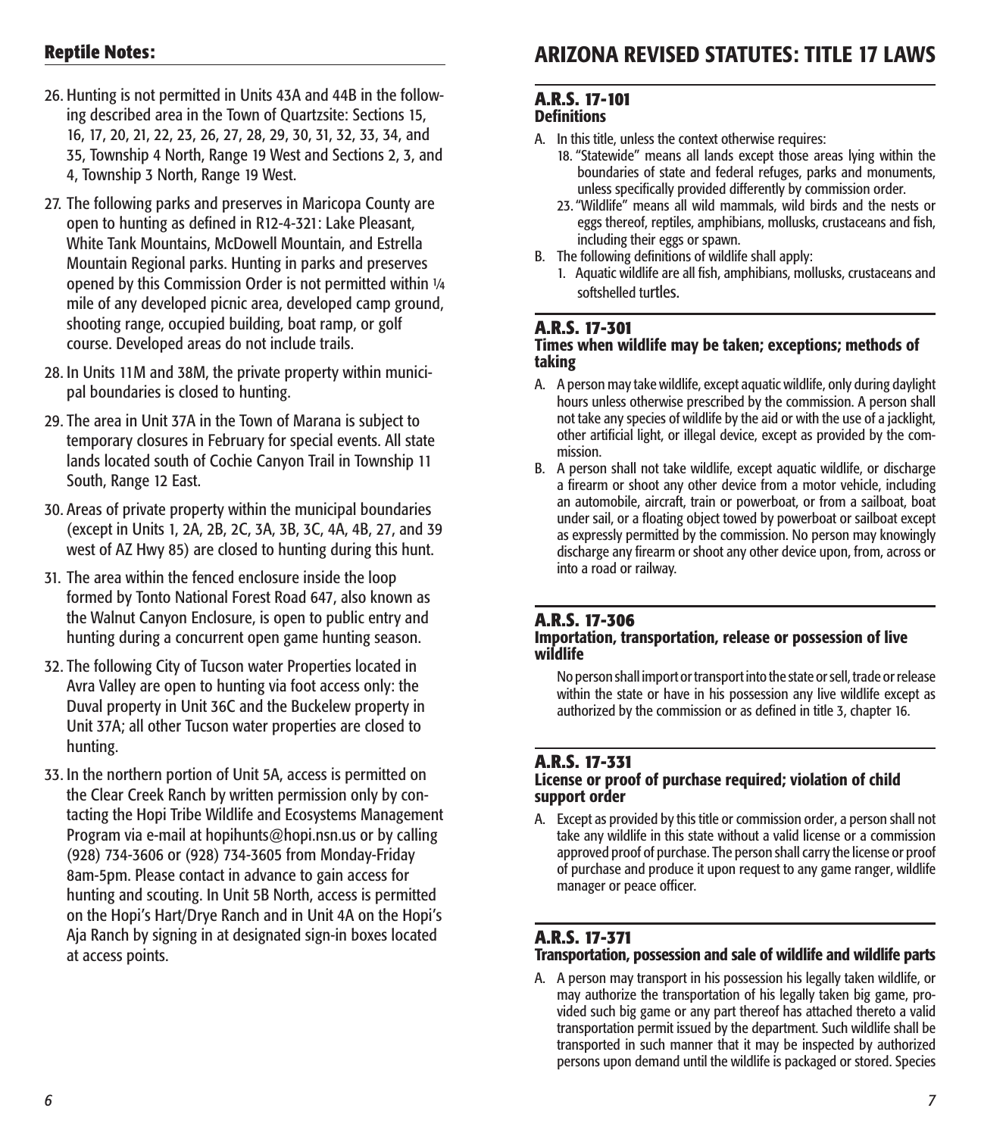## **Reptile Notes:**

- 26. Hunting is not permitted in Units 43A and 44B in the following described area in the Town of Quartzsite: Sections 15, 16, 17, 20, 21, 22, 23, 26, 27, 28, 29, 30, 31, 32, 33, 34, and 35, Township 4 North, Range 19 West and Sections 2, 3, and 4, Township 3 North, Range 19 West.
- 27. The following parks and preserves in Maricopa County are open to hunting as defined in R12-4-321: Lake Pleasant, White Tank Mountains, McDowell Mountain, and Estrella Mountain Regional parks. Hunting in parks and preserves opened by this Commission Order is not permitted within 1/4 mile of any developed picnic area, developed camp ground, shooting range, occupied building, boat ramp, or golf course. Developed areas do not include trails.
- 28. In Units 11M and 38M, the private property within municipal boundaries is closed to hunting.
- 29. The area in Unit 37A in the Town of Marana is subject to temporary closures in February for special events. All state lands located south of Cochie Canyon Trail in Township 11 South, Range 12 East.
- 30. Areas of private property within the municipal boundaries (except in Units 1, 2A, 2B, 2C, 3A, 3B, 3C, 4A, 4B, 27, and 39 west of AZ Hwy 85) are closed to hunting during this hunt.
- 31. The area within the fenced enclosure inside the loop formed by Tonto National Forest Road 647, also known as the Walnut Canyon Enclosure, is open to public entry and hunting during a concurrent open game hunting season.
- 32. The following City of Tucson water Properties located in Avra Valley are open to hunting via foot access only: the Duval property in Unit 36C and the Buckelew property in Unit 37A; all other Tucson water properties are closed to hunting.
- 33. In the northern portion of Unit 5A, access is permitted on the Clear Creek Ranch by written permission only by contacting the Hopi Tribe Wildlife and Ecosystems Management Program via e-mail at hopihunts@hopi.nsn.us or by calling (928) 734-3606 or (928) 734-3605 from Monday-Friday 8am-5pm. Please contact in advance to gain access for hunting and scouting. In Unit 5B North, access is permitted on the Hopi's Hart/Drye Ranch and in Unit 4A on the Hopi's Aja Ranch by signing in at designated sign-in boxes located at access points.

# ARIZONA REVISED STATUTES: TITLE 17 LAWS

#### **A.R.S. 17-101 Definitions**

- A. In this title, unless the context otherwise requires:
	- 18. "Statewide" means all lands except those areas lying within the boundaries of state and federal refuges, parks and monuments, unless specifically provided differently by commission order.
	- 23."Wildlife" means all wild mammals, wild birds and the nests or eggs thereof, reptiles, amphibians, mollusks, crustaceans and fish, including their eggs or spawn.
- B. The following definitions of wildlife shall apply:
	- 1. Aquatic wildlife are all fish, amphibians, mollusks, crustaceans and softshelled turtles.

#### **A.R.S. 17-301**

#### Times when wildlife may be taken; exceptions; methods of taking

- A. A person may take wildlife, except aquatic wildlife, only during daylight hours unless otherwise prescribed by the commission. A person shall not take any species of wildlife by the aid or with the use of a jacklight, other artificial light, or illegal device, except as provided by the commission.
- B. A person shall not take wildlife, except aquatic wildlife, or discharge a firearm or shoot any other device from a motor vehicle, including an automobile, aircraft, train or powerboat, or from a sailboat, boat under sail, or a floating object towed by powerboat or sailboat except as expressly permitted by the commission. No person may knowingly discharge any firearm or shoot any other device upon, from, across or into a road or railway.

#### **A.R.S. 17-306**

#### Importation, transportation, release or possession of live wildlife

No person shall import or transport into the state or sell, trade or release within the state or have in his possession any live wildlife except as authorized by the commission or as defined in title 3, chapter 16.

#### **A.R.S. 17-331**

#### License or proof of purchase required; violation of child support order

A. Except as provided by this title or commission order, a person shall not take any wildlife in this state without a valid license or a commission approved proof of purchase. The person shall carry the license or proof of purchase and produce it upon request to any game ranger, wildlife manager or peace officer.

#### **A.R.S. 17-371**

#### Transportation, possession and sale of wildlife and wildlife parts

A. A person may transport in his possession his legally taken wildlife, or may authorize the transportation of his legally taken big game, provided such big game or any part thereof has attached thereto a valid transportation permit issued by the department. Such wildlife shall be transported in such manner that it may be inspected by authorized persons upon demand until the wildlife is packaged or stored. Species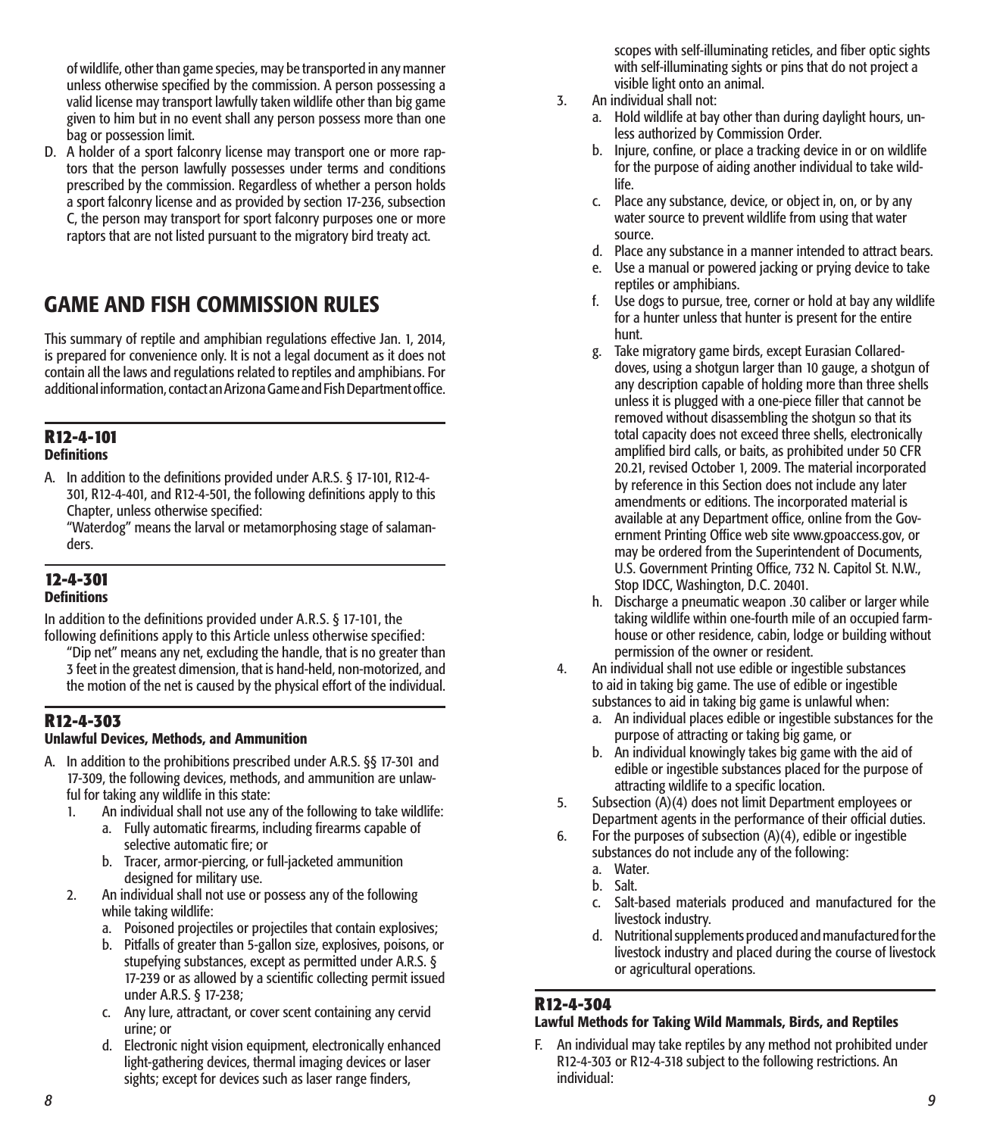of wildlife, other than game species, may be transported in any manner unless otherwise specified by the commission. A person possessing a valid license may transport lawfully taken wildlife other than big game given to him but in no event shall any person possess more than one bag or possession limit.

D. A holder of a sport falconry license may transport one or more raptors that the person lawfully possesses under terms and conditions prescribed by the commission. Regardless of whether a person holds a sport falconry license and as provided by section 17-236, subsection C, the person may transport for sport falconry purposes one or more raptors that are not listed pursuant to the migratory bird treaty act.

# GAME AND FISH COMMISSION RULES

This summary of reptile and amphibian regulations effective Jan. 1, 2014, is prepared for convenience only. It is not a legal document as it does not contain all the laws and regulations related to reptiles and amphibians. For additional information, contact an Arizona Game and Fish Department office.

#### **R12-4-101 Definitions**

A. In addition to the definitions provided under A.R.S. § 17-101, R12-4- 301, R12-4-401, and R12-4-501, the following definitions apply to this Chapter, unless otherwise specified:

"Waterdog" means the larval or metamorphosing stage of salamanders.

#### **12-4-301 Definitions**

In addition to the definitions provided under A.R.S. § 17-101, the following definitions apply to this Article unless otherwise specified:

"Dip net" means any net, excluding the handle, that is no greater than 3 feet in the greatest dimension, that is hand-held, non-motorized, and the motion of the net is caused by the physical effort of the individual.

#### **R12-4-303**

#### Unlawful Devices, Methods, and Ammunition

- A. In addition to the prohibitions prescribed under A.R.S. §§ 17-301 and 17-309, the following devices, methods, and ammunition are unlawful for taking any wildlife in this state:
	- 1. An individual shall not use any of the following to take wildlife:
		- a. Fully automatic firearms, including firearms capable of selective automatic fire; or
		- b. Tracer, armor-piercing, or full-jacketed ammunition designed for military use.
	- 2. An individual shall not use or possess any of the following while taking wildlife:
		- a. Poisoned projectiles or projectiles that contain explosives;
		- b. Pitfalls of greater than 5-gallon size, explosives, poisons, or stupefying substances, except as permitted under A.R.S. § 17-239 or as allowed by a scientific collecting permit issued under A.R.S. § 17-238;
		- c. Any lure, attractant, or cover scent containing any cervid urine; or
		- d. Electronic night vision equipment, electronically enhanced light-gathering devices, thermal imaging devices or laser sights; except for devices such as laser range finders,

scopes with self-illuminating reticles, and fiber optic sights with self-illuminating sights or pins that do not project a visible light onto an animal.

- 3. An individual shall not:
	- a. Hold wildlife at bay other than during daylight hours, unless authorized by Commission Order.
	- b. Injure, confine, or place a tracking device in or on wildlife for the purpose of aiding another individual to take wildlife.
	- c. Place any substance, device, or object in, on, or by any water source to prevent wildlife from using that water source.
	- d. Place any substance in a manner intended to attract bears.
	- e. Use a manual or powered jacking or prying device to take reptiles or amphibians.
	- f. Use dogs to pursue, tree, corner or hold at bay any wildlife for a hunter unless that hunter is present for the entire hunt.
	- g. Take migratory game birds, except Eurasian Collareddoves, using a shotgun larger than 10 gauge, a shotgun of any description capable of holding more than three shells unless it is plugged with a one-piece filler that cannot be removed without disassembling the shotgun so that its total capacity does not exceed three shells, electronically amplified bird calls, or baits, as prohibited under 50 CFR 20.21, revised October 1, 2009. The material incorporated by reference in this Section does not include any later amendments or editions. The incorporated material is available at any Department office, online from the Government Printing Office web site www.gpoaccess.gov, or may be ordered from the Superintendent of Documents, U.S. Government Printing Office, 732 N. Capitol St. N.W., Stop IDCC, Washington, D.C. 20401.
	- h. Discharge a pneumatic weapon .30 caliber or larger while taking wildlife within one-fourth mile of an occupied farmhouse or other residence, cabin, lodge or building without permission of the owner or resident.
- 4. An individual shall not use edible or ingestible substances to aid in taking big game. The use of edible or ingestible substances to aid in taking big game is unlawful when:
	- a. An individual places edible or ingestible substances for the purpose of attracting or taking big game, or
	- b. An individual knowingly takes big game with the aid of edible or ingestible substances placed for the purpose of attracting wildlife to a specific location.
- 5. Subsection (A)(4) does not limit Department employees or Department agents in the performance of their official duties.
- 6. For the purposes of subsection (A)(4), edible or ingestible substances do not include any of the following: a. Water.
	- b. Salt.
	-
	- c. Salt-based materials produced and manufactured for the livestock industry.
	- d. Nutritional supplements produced and manufactured for the livestock industry and placed during the course of livestock or agricultural operations.

#### **R12-4-304**

#### Lawful Methods for Taking Wild Mammals, Birds, and Reptiles

F. An individual may take reptiles by any method not prohibited under R12-4-303 or R12-4-318 subject to the following restrictions. An individual: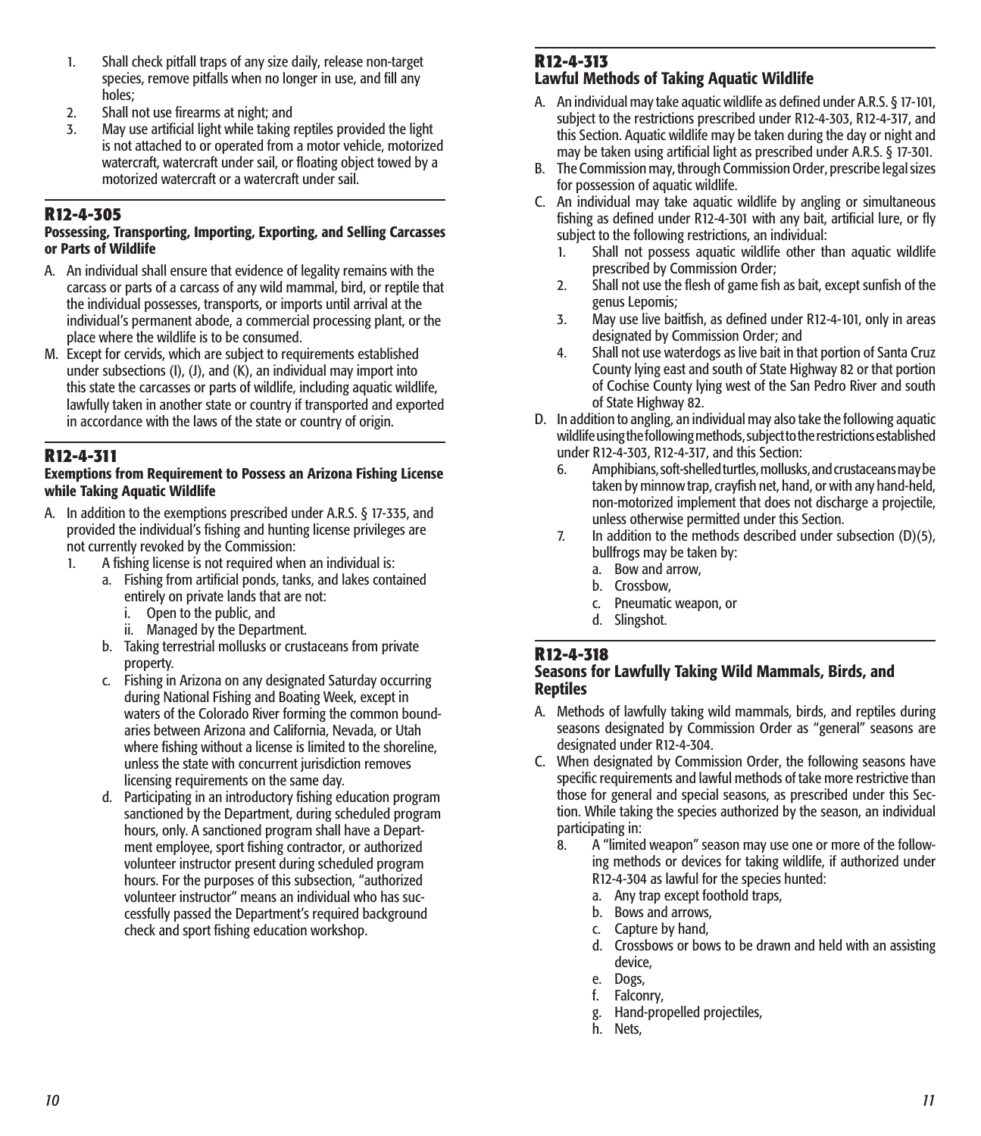- 1. Shall check pitfall traps of any size daily, release non-target species, remove pitfalls when no longer in use, and fill any holes;
- 2. Shall not use firearms at night; and
- 3. May use artificial light while taking reptiles provided the light is not attached to or operated from a motor vehicle, motorized watercraft, watercraft under sail, or floating object towed by a motorized watercraft or a watercraft under sail.

#### **R12-4-305**

#### Possessing, Transporting, Importing, Exporting, and Selling Carcasses or Parts of Wildlife

- A. An individual shall ensure that evidence of legality remains with the carcass or parts of a carcass of any wild mammal, bird, or reptile that the individual possesses, transports, or imports until arrival at the individual's permanent abode, a commercial processing plant, or the place where the wildlife is to be consumed.
- M. Except for cervids, which are subject to requirements established under subsections (I), (J), and (K), an individual may import into this state the carcasses or parts of wildlife, including aquatic wildlife, lawfully taken in another state or country if transported and exported in accordance with the laws of the state or country of origin.

#### **R12-4-311**

#### Exemptions from Requirement to Possess an Arizona Fishing License while Taking Aquatic Wildlife

- A. In addition to the exemptions prescribed under A.R.S. § 17-335, and provided the individual's fishing and hunting license privileges are not currently revoked by the Commission:<br>1. A fishing license is not required whe
	- A fishing license is not required when an individual is:
		- a. Fishing from artificial ponds, tanks, and lakes contained entirely on private lands that are not:
			- i. Open to the public, and
			- ii. Managed by the Department.
		- b. Taking terrestrial mollusks or crustaceans from private property.
		- c. Fishing in Arizona on any designated Saturday occurring during National Fishing and Boating Week, except in waters of the Colorado River forming the common boundaries between Arizona and California, Nevada, or Utah where fishing without a license is limited to the shoreline, unless the state with concurrent jurisdiction removes licensing requirements on the same day.
		- d. Participating in an introductory fishing education program sanctioned by the Department, during scheduled program hours, only. A sanctioned program shall have a Department employee, sport fishing contractor, or authorized volunteer instructor present during scheduled program hours. For the purposes of this subsection, "authorized volunteer instructor" means an individual who has successfully passed the Department's required background check and sport fishing education workshop.

#### **R12-4-313**

#### Lawful Methods of Taking Aquatic Wildlife

- A. An individual may take aquatic wildlife as defined under A.R.S. § 17-101, subject to the restrictions prescribed under R12-4-303, R12-4-317, and this Section. Aquatic wildlife may be taken during the day or night and may be taken using artificial light as prescribed under A.R.S. § 17-301.
- B. The Commission may, through Commission Order, prescribe legal sizes for possession of aquatic wildlife.
- C. An individual may take aquatic wildlife by angling or simultaneous fishing as defined under R12-4-301 with any bait, artificial lure, or fly subject to the following restrictions, an individual:
	- 1. Shall not possess aquatic wildlife other than aquatic wildlife prescribed by Commission Order;
	- 2. Shall not use the flesh of game fish as bait, except sunfish of the genus Lepomis;
	- 3. May use live baitfish, as defined under R12-4-101, only in areas designated by Commission Order; and
	- 4. Shall not use waterdogs as live bait in that portion of Santa Cruz County lying east and south of State Highway 82 or that portion of Cochise County lying west of the San Pedro River and south of State Highway 82.
- D. In addition to angling, an individual may also take the following aquatic wildlife using the following methods, subject to the restrictions established under R12-4-303, R12-4-317, and this Section:
	- 6. Amphibians, soft-shelled turtles, mollusks, and crustaceans may be taken by minnow trap, crayfish net, hand, or with any hand-held, non-motorized implement that does not discharge a projectile, unless otherwise permitted under this Section.
	- 7. In addition to the methods described under subsection (D)(5), bullfrogs may be taken by:
		- a. Bow and arrow,
		- b. Crossbow,
		- c. Pneumatic weapon, or
		- d. Slingshot.

#### **R12-4-318**

#### Seasons for Lawfully Taking Wild Mammals, Birds, and Reptiles

- A. Methods of lawfully taking wild mammals, birds, and reptiles during seasons designated by Commission Order as "general" seasons are designated under R12-4-304.
- C. When designated by Commission Order, the following seasons have specific requirements and lawful methods of take more restrictive than those for general and special seasons, as prescribed under this Section. While taking the species authorized by the season, an individual participating in:
	- 8. A "limited weapon" season may use one or more of the following methods or devices for taking wildlife, if authorized under R12-4-304 as lawful for the species hunted:
		- a. Any trap except foothold traps,
		- b. Bows and arrows,
		- c. Capture by hand,
		- d. Crossbows or bows to be drawn and held with an assisting device,
		- e. Dogs,
		- f. Falconry,
		- g. Hand-propelled projectiles,
		- h. Nets,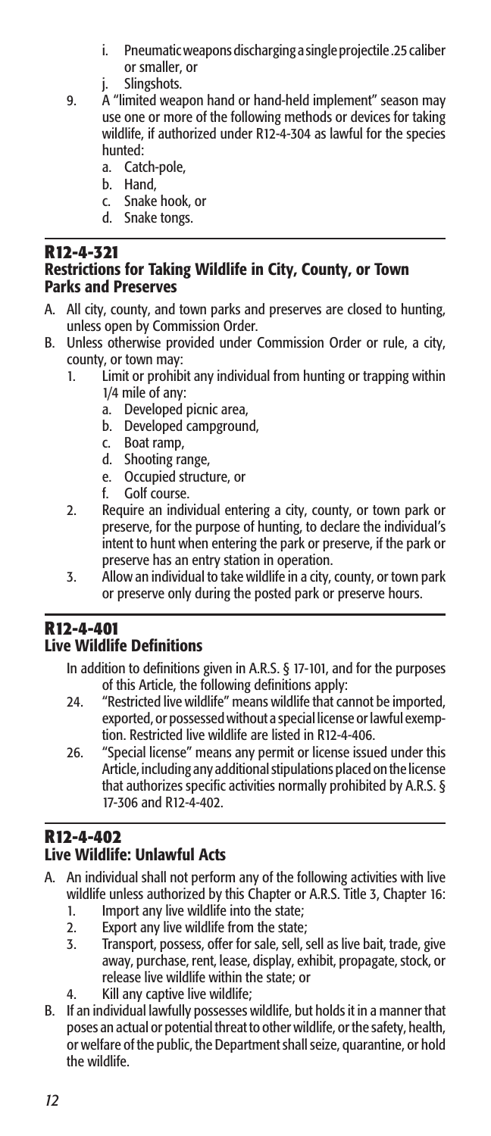- i. Pneumatic weapons discharging a single projectile .25 caliber or smaller, or
- j. Slingshots.
- 9. A "limited weapon hand or hand-held implement" season may use one or more of the following methods or devices for taking wildlife, if authorized under R12-4-304 as lawful for the species hunted:
	- a. Catch-pole,
	- b. Hand,
	- c. Snake hook, or
	- d. Snake tongs.

#### **R12-4-321** Restrictions for Taking Wildlife in City, County, or Town Parks and Preserves

- A. All city, county, and town parks and preserves are closed to hunting, unless open by Commission Order.
- B. Unless otherwise provided under Commission Order or rule, a city, county, or town may:
	- 1. Limit or prohibit any individual from hunting or trapping within 1/4 mile of any:
		- a. Developed picnic area,<br>b. Developed campgroun
		- b. Developed campground,
		- c. Boat ramp,
		- d. Shooting range,
		- e. Occupied structure, or
		- f. Golf course.
	- 2. Require an individual entering a city, county, or town park or preserve, for the purpose of hunting, to declare the individual's intent to hunt when entering the park or preserve, if the park or preserve has an entry station in operation.
	- 3. Allow an individual to take wildlife in a city, county, or town park or preserve only during the posted park or preserve hours.

# **R12-4-401**

### Live Wildlife Definitions

- In addition to definitions given in A.R.S. § 17-101, and for the purposes of this Article, the following definitions apply:
- 24. "Restricted live wildlife" means wildlife that cannot be imported, exported, or possessed without a special license or lawful exemption. Restricted live wildlife are listed in R12-4-406.
- 26. "Special license" means any permit or license issued under this Article, including any additional stipulations placed on the license that authorizes specific activities normally prohibited by A.R.S. § 17-306 and R12-4-402.

#### **R12-4-402** Live Wildlife: Unlawful Acts

- A. An individual shall not perform any of the following activities with live wildlife unless authorized by this Chapter or A.R.S. Title 3, Chapter 16:
	- 1. Import any live wildlife into the state;
	- 2. Export any live wildlife from the state;<br>3. Transport, possess, offer for sale, sell, s
	- Transport, possess, offer for sale, sell, sell as live bait, trade, give away, purchase, rent, lease, display, exhibit, propagate, stock, or release live wildlife within the state; or
	- 4. Kill any captive live wildlife;
- B. If an individual lawfully possesses wildlife, but holds it in a manner that poses an actual or potential threat to other wildlife, or the safety, health, or welfare of the public, the Department shall seize, quarantine, or hold the wildlife.